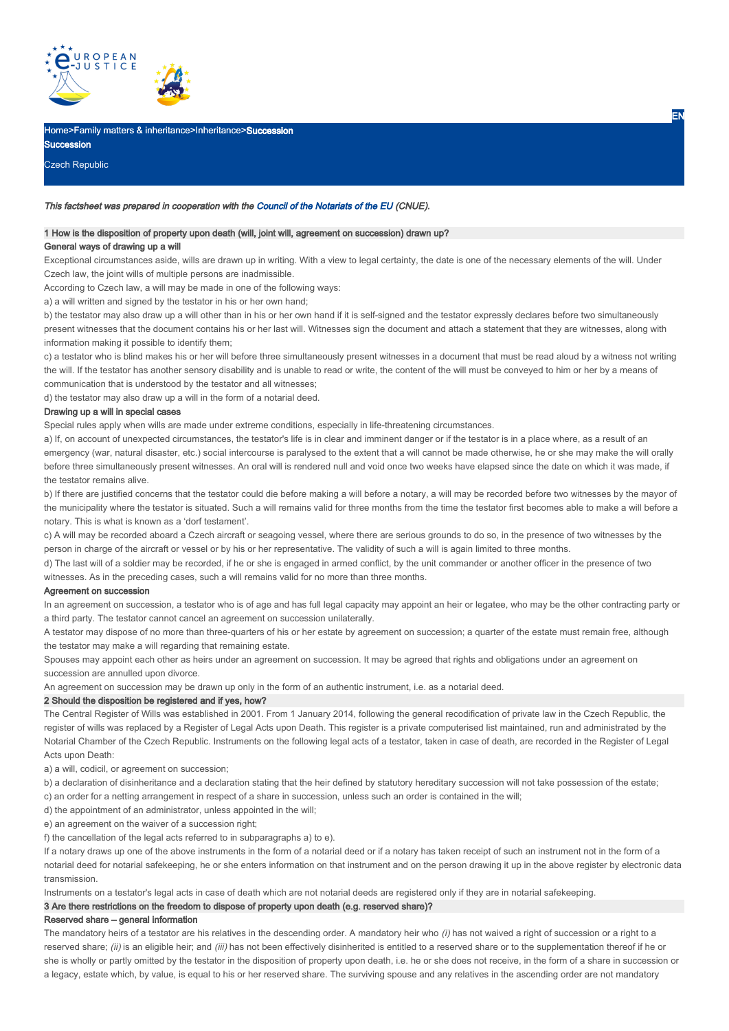

### Iome>Family matters & inheritance>Inheritance>Succession

Czech Republic

**Succession** 

#### This factsheet was prepared in cooperation with the Council of the Notariats of the EU (CNUE).

# 1 How is the disposition of property upon death (will, joint will, agreement on succession) drawn up? General ways of drawing up a will

Exceptional circumstances aside, wills are drawn up in writing. With a view to legal certainty, the date is one of the necessary elements of the will. Under Czech law, the joint wills of multiple persons are inadmissible.

According to Czech law, a will may be made in one of the following ways:

a) a will written and signed by the testator in his or her own hand;

b) the testator may also draw up a will other than in his or her own hand if it is self-signed and the testator expressly declares before two simultaneously present witnesses that the document contains his or her last will. Witnesses sign the document and attach a statement that they are witnesses, along with information making it possible to identify them;

c) a testator who is blind makes his or her will before three simultaneously present witnesses in a document that must be read aloud by a witness not writing the will. If the testator has another sensory disability and is unable to read or write, the content of the will must be conveyed to him or her by a means of communication that is understood by the testator and all witnesses;

d) the testator may also draw up a will in the form of a notarial deed.

### Drawing up a will in special cases

Special rules apply when wills are made under extreme conditions, especially in life-threatening circumstances.

a) If, on account of unexpected circumstances, the testator's life is in clear and imminent danger or if the testator is in a place where, as a result of an emergency (war, natural disaster, etc.) social intercourse is paralysed to the extent that a will cannot be made otherwise, he or she may make the will orally before three simultaneously present witnesses. An oral will is rendered null and void once two weeks have elapsed since the date on which it was made, if the testator remains alive.

b) If there are justified concerns that the testator could die before making a will before a notary, a will may be recorded before two witnesses by the mayor of the municipality where the testator is situated. Such a will remains valid for three months from the time the testator first becomes able to make a will before a notary. This is what is known as a 'dorf testament'.

c) A will may be recorded aboard a Czech aircraft or seagoing vessel, where there are serious grounds to do so, in the presence of two witnesses by the person in charge of the aircraft or vessel or by his or her representative. The validity of such a will is again limited to three months.

d) The last will of a soldier may be recorded, if he or she is engaged in armed conflict, by the unit commander or another officer in the presence of two witnesses. As in the preceding cases, such a will remains valid for no more than three months.

#### Agreement on succession

In an agreement on succession, a testator who is of age and has full legal capacity may appoint an heir or legatee, who may be the other contracting party or a third party. The testator cannot cancel an agreement on succession unilaterally.

A testator may dispose of no more than three-quarters of his or her estate by agreement on succession; a quarter of the estate must remain free, although the testator may make a will regarding that remaining estate.

Spouses may appoint each other as heirs under an agreement on succession. It may be agreed that rights and obligations under an agreement on succession are annulled upon divorce.

An agreement on succession may be drawn up only in the form of an authentic instrument, i.e. as a notarial deed.

### 2 Should the disposition be registered and if yes, how?

The Central Register of Wills was established in 2001. From 1 January 2014, following the general recodification of private law in the Czech Republic, the register of wills was replaced by a Register of Legal Acts upon Death. This register is a private computerised list maintained, run and administrated by the Notarial Chamber of the Czech Republic. Instruments on the following legal acts of a testator, taken in case of death, are recorded in the Register of Legal Acts upon Death:

a) a will, codicil, or agreement on succession;

b) a declaration of disinheritance and a declaration stating that the heir defined by statutory hereditary succession will not take possession of the estate;

c) an order for a netting arrangement in respect of a share in succession, unless such an order is contained in the will;

d) the appointment of an administrator, unless appointed in the will;

e) an agreement on the waiver of a succession right;

f) the cancellation of the legal acts referred to in subparagraphs a) to e).

If a notary draws up one of the above instruments in the form of a notarial deed or if a notary has taken receipt of such an instrument not in the form of a notarial deed for notarial safekeeping, he or she enters information on that instrument and on the person drawing it up in the above register by electronic data transmission.

Instruments on a testator's legal acts in case of death which are not notarial deeds are registered only if they are in notarial safekeeping.

#### 3 Are there restrictions on the freedom to dispose of property upon death (e.g. reserved share)?

#### Reserved share – general information

The mandatory heirs of a testator are his relatives in the descending order. A mandatory heir who (i) has not waived a right of succession or a right to a reserved share; (ii) is an eligible heir; and (iii) has not been effectively disinherited is entitled to a reserved share or to the supplementation thereof if he or she is wholly or partly omitted by the testator in the disposition of property upon death, i.e. he or she does not receive, in the form of a share in succession or a legacy, estate which, by value, is equal to his or her reserved share. The surviving spouse and any relatives in the ascending order are not mandatory

EN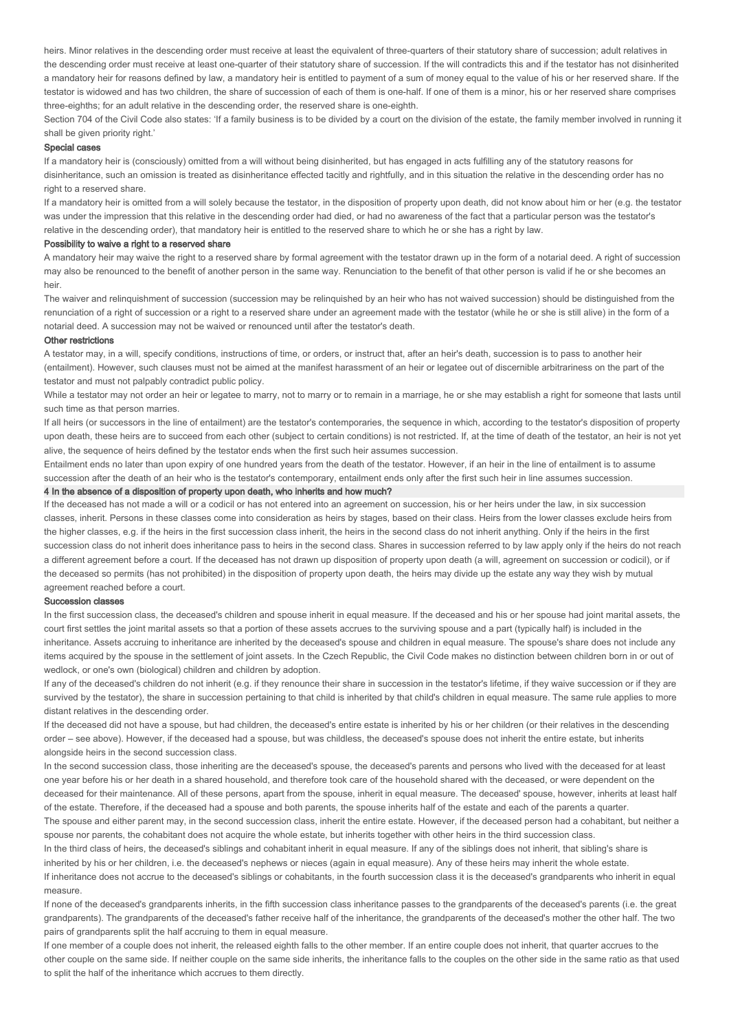heirs. Minor relatives in the descending order must receive at least the equivalent of three-quarters of their statutory share of succession; adult relatives in the descending order must receive at least one-quarter of their statutory share of succession. If the will contradicts this and if the testator has not disinherited a mandatory heir for reasons defined by law, a mandatory heir is entitled to payment of a sum of money equal to the value of his or her reserved share. If the testator is widowed and has two children, the share of succession of each of them is one-half. If one of them is a minor, his or her reserved share comprises three-eighths; for an adult relative in the descending order, the reserved share is one-eighth.

Section 704 of the Civil Code also states: 'If a family business is to be divided by a court on the division of the estate, the family member involved in running it shall be given priority right.'

### Special cases

If a mandatory heir is (consciously) omitted from a will without being disinherited, but has engaged in acts fulfilling any of the statutory reasons for disinheritance, such an omission is treated as disinheritance effected tacitly and rightfully, and in this situation the relative in the descending order has no right to a reserved share.

If a mandatory heir is omitted from a will solely because the testator, in the disposition of property upon death, did not know about him or her (e.g. the testator was under the impression that this relative in the descending order had died, or had no awareness of the fact that a particular person was the testator's relative in the descending order), that mandatory heir is entitled to the reserved share to which he or she has a right by law.

#### Possibility to waive a right to a reserved share

A mandatory heir may waive the right to a reserved share by formal agreement with the testator drawn up in the form of a notarial deed. A right of succession may also be renounced to the benefit of another person in the same way. Renunciation to the benefit of that other person is valid if he or she becomes an heir.

The waiver and relinquishment of succession (succession may be relinquished by an heir who has not waived succession) should be distinguished from the renunciation of a right of succession or a right to a reserved share under an agreement made with the testator (while he or she is still alive) in the form of a notarial deed. A succession may not be waived or renounced until after the testator's death.

#### Other restrictions

A testator may, in a will, specify conditions, instructions of time, or orders, or instruct that, after an heir's death, succession is to pass to another heir (entailment). However, such clauses must not be aimed at the manifest harassment of an heir or legatee out of discernible arbitrariness on the part of the testator and must not palpably contradict public policy.

While a testator may not order an heir or legatee to marry, not to marry or to remain in a marriage, he or she may establish a right for someone that lasts until such time as that person marries.

If all heirs (or successors in the line of entailment) are the testator's contemporaries, the sequence in which, according to the testator's disposition of property upon death, these heirs are to succeed from each other (subject to certain conditions) is not restricted. If, at the time of death of the testator, an heir is not yet alive, the sequence of heirs defined by the testator ends when the first such heir assumes succession.

Entailment ends no later than upon expiry of one hundred years from the death of the testator. However, if an heir in the line of entailment is to assume succession after the death of an heir who is the testator's contemporary, entailment ends only after the first such heir in line assumes succession.

# 4 In the absence of a disposition of property upon death, who inherits and how much?

If the deceased has not made a will or a codicil or has not entered into an agreement on succession, his or her heirs under the law, in six succession classes, inherit. Persons in these classes come into consideration as heirs by stages, based on their class. Heirs from the lower classes exclude heirs from the higher classes, e.g. if the heirs in the first succession class inherit, the heirs in the second class do not inherit anything. Only if the heirs in the first succession class do not inherit does inheritance pass to heirs in the second class. Shares in succession referred to by law apply only if the heirs do not reach a different agreement before a court. If the deceased has not drawn up disposition of property upon death (a will, agreement on succession or codicil), or if the deceased so permits (has not prohibited) in the disposition of property upon death, the heirs may divide up the estate any way they wish by mutual agreement reached before a court.

#### Succession classes

In the first succession class, the deceased's children and spouse inherit in equal measure. If the deceased and his or her spouse had joint marital assets, the court first settles the joint marital assets so that a portion of these assets accrues to the surviving spouse and a part (typically half) is included in the inheritance. Assets accruing to inheritance are inherited by the deceased's spouse and children in equal measure. The spouse's share does not include any items acquired by the spouse in the settlement of joint assets. In the Czech Republic, the Civil Code makes no distinction between children born in or out of wedlock, or one's own (biological) children and children by adoption.

If any of the deceased's children do not inherit (e.g. if they renounce their share in succession in the testator's lifetime, if they waive succession or if they are survived by the testator), the share in succession pertaining to that child is inherited by that child's children in equal measure. The same rule applies to more distant relatives in the descending order.

If the deceased did not have a spouse, but had children, the deceased's entire estate is inherited by his or her children (or their relatives in the descending order – see above). However, if the deceased had a spouse, but was childless, the deceased's spouse does not inherit the entire estate, but inherits alongside heirs in the second succession class.

In the second succession class, those inheriting are the deceased's spouse, the deceased's parents and persons who lived with the deceased for at least one year before his or her death in a shared household, and therefore took care of the household shared with the deceased, or were dependent on the deceased for their maintenance. All of these persons, apart from the spouse, inherit in equal measure. The deceased' spouse, however, inherits at least half of the estate. Therefore, if the deceased had a spouse and both parents, the spouse inherits half of the estate and each of the parents a quarter.

The spouse and either parent may, in the second succession class, inherit the entire estate. However, if the deceased person had a cohabitant, but neither a spouse nor parents, the cohabitant does not acquire the whole estate, but inherits together with other heirs in the third succession class.

In the third class of heirs, the deceased's siblings and cohabitant inherit in equal measure. If any of the siblings does not inherit, that sibling's share is inherited by his or her children, i.e. the deceased's nephews or nieces (again in equal measure). Any of these heirs may inherit the whole estate. If inheritance does not accrue to the deceased's siblings or cohabitants, in the fourth succession class it is the deceased's grandparents who inherit in equal measure.

If none of the deceased's grandparents inherits, in the fifth succession class inheritance passes to the grandparents of the deceased's parents (i.e. the great grandparents). The grandparents of the deceased's father receive half of the inheritance, the grandparents of the deceased's mother the other half. The two pairs of grandparents split the half accruing to them in equal measure.

If one member of a couple does not inherit, the released eighth falls to the other member. If an entire couple does not inherit, that quarter accrues to the other couple on the same side. If neither couple on the same side inherits, the inheritance falls to the couples on the other side in the same ratio as that used to split the half of the inheritance which accrues to them directly.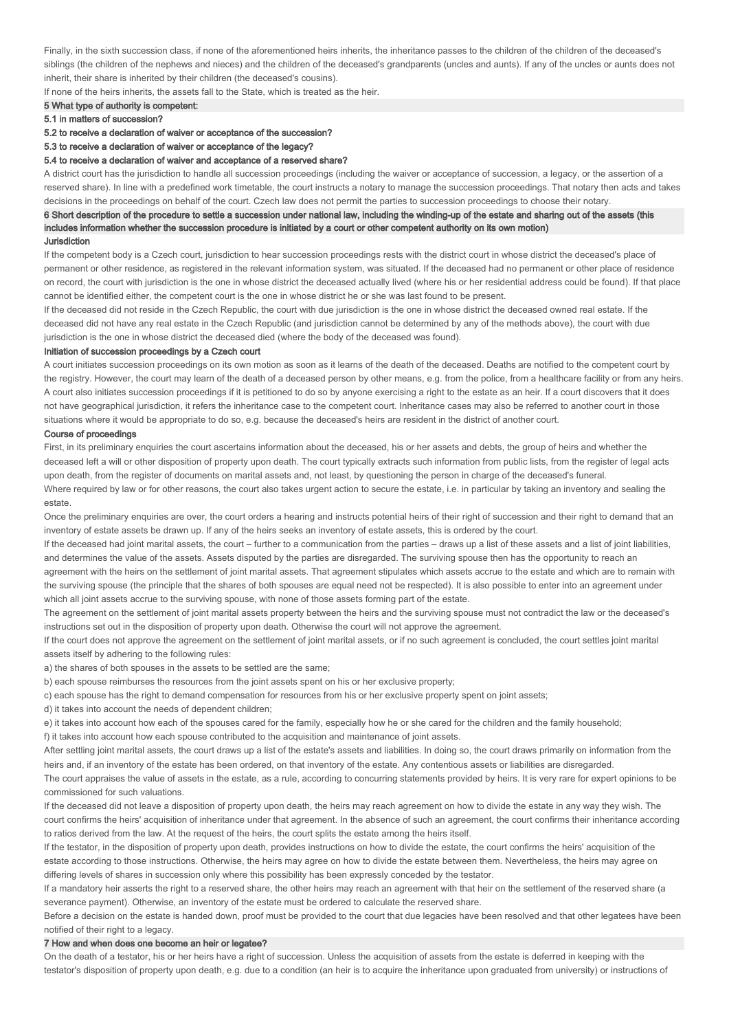Finally, in the sixth succession class, if none of the aforementioned heirs inherits, the inheritance passes to the children of the children of the deceased's siblings (the children of the nephews and nieces) and the children of the deceased's grandparents (uncles and aunts). If any of the uncles or aunts does not inherit, their share is inherited by their children (the deceased's cousins).

If none of the heirs inherits, the assets fall to the State, which is treated as the heir.

# 5 What type of authority is competent:

### 5.1 in matters of succession?

### 5.2 to receive a declaration of waiver or acceptance of the succession?

#### 5.3 to receive a declaration of waiver or acceptance of the legacy?

#### 5.4 to receive a declaration of waiver and acceptance of a reserved share?

A district court has the jurisdiction to handle all succession proceedings (including the waiver or acceptance of succession, a legacy, or the assertion of a reserved share). In line with a predefined work timetable, the court instructs a notary to manage the succession proceedings. That notary then acts and takes decisions in the proceedings on behalf of the court. Czech law does not permit the parties to succession proceedings to choose their notary.

### 6 Short description of the procedure to settle a succession under national law, including the winding-up of the estate and sharing out of the assets (this includes information whether the succession procedure is initiated by a court or other competent authority on its own motion) **Jurisdiction**

If the competent body is a Czech court, jurisdiction to hear succession proceedings rests with the district court in whose district the deceased's place of permanent or other residence, as registered in the relevant information system, was situated. If the deceased had no permanent or other place of residence on record, the court with jurisdiction is the one in whose district the deceased actually lived (where his or her residential address could be found). If that place cannot be identified either, the competent court is the one in whose district he or she was last found to be present.

If the deceased did not reside in the Czech Republic, the court with due jurisdiction is the one in whose district the deceased owned real estate. If the deceased did not have any real estate in the Czech Republic (and jurisdiction cannot be determined by any of the methods above), the court with due jurisdiction is the one in whose district the deceased died (where the body of the deceased was found).

#### Initiation of succession proceedings by a Czech court

A court initiates succession proceedings on its own motion as soon as it learns of the death of the deceased. Deaths are notified to the competent court by the registry. However, the court may learn of the death of a deceased person by other means, e.g. from the police, from a healthcare facility or from any heirs. A court also initiates succession proceedings if it is petitioned to do so by anyone exercising a right to the estate as an heir. If a court discovers that it does not have geographical jurisdiction, it refers the inheritance case to the competent court. Inheritance cases may also be referred to another court in those situations where it would be appropriate to do so, e.g. because the deceased's heirs are resident in the district of another court.

### Course of proceedings

First, in its preliminary enquiries the court ascertains information about the deceased, his or her assets and debts, the group of heirs and whether the deceased left a will or other disposition of property upon death. The court typically extracts such information from public lists, from the register of legal acts upon death, from the register of documents on marital assets and, not least, by questioning the person in charge of the deceased's funeral. Where required by law or for other reasons, the court also takes urgent action to secure the estate, i.e. in particular by taking an inventory and sealing the estate

Once the preliminary enquiries are over, the court orders a hearing and instructs potential heirs of their right of succession and their right to demand that an inventory of estate assets be drawn up. If any of the heirs seeks an inventory of estate assets, this is ordered by the court.

If the deceased had joint marital assets, the court – further to a communication from the parties – draws up a list of these assets and a list of joint liabilities, and determines the value of the assets. Assets disputed by the parties are disregarded. The surviving spouse then has the opportunity to reach an agreement with the heirs on the settlement of joint marital assets. That agreement stipulates which assets accrue to the estate and which are to remain with

the surviving spouse (the principle that the shares of both spouses are equal need not be respected). It is also possible to enter into an agreement under which all joint assets accrue to the surviving spouse, with none of those assets forming part of the estate.

The agreement on the settlement of joint marital assets property between the heirs and the surviving spouse must not contradict the law or the deceased's instructions set out in the disposition of property upon death. Otherwise the court will not approve the agreement.

If the court does not approve the agreement on the settlement of joint marital assets, or if no such agreement is concluded, the court settles joint marital assets itself by adhering to the following rules:

a) the shares of both spouses in the assets to be settled are the same;

b) each spouse reimburses the resources from the joint assets spent on his or her exclusive property;

c) each spouse has the right to demand compensation for resources from his or her exclusive property spent on joint assets;

d) it takes into account the needs of dependent children;

e) it takes into account how each of the spouses cared for the family, especially how he or she cared for the children and the family household;

f) it takes into account how each spouse contributed to the acquisition and maintenance of joint assets.

After settling joint marital assets, the court draws up a list of the estate's assets and liabilities. In doing so, the court draws primarily on information from the heirs and, if an inventory of the estate has been ordered, on that inventory of the estate. Any contentious assets or liabilities are disregarded.

The court appraises the value of assets in the estate, as a rule, according to concurring statements provided by heirs. It is very rare for expert opinions to be commissioned for such valuations.

If the deceased did not leave a disposition of property upon death, the heirs may reach agreement on how to divide the estate in any way they wish. The court confirms the heirs' acquisition of inheritance under that agreement. In the absence of such an agreement, the court confirms their inheritance according to ratios derived from the law. At the request of the heirs, the court splits the estate among the heirs itself.

If the testator, in the disposition of property upon death, provides instructions on how to divide the estate, the court confirms the heirs' acquisition of the estate according to those instructions. Otherwise, the heirs may agree on how to divide the estate between them. Nevertheless, the heirs may agree on differing levels of shares in succession only where this possibility has been expressly conceded by the testator.

If a mandatory heir asserts the right to a reserved share, the other heirs may reach an agreement with that heir on the settlement of the reserved share (a severance payment). Otherwise, an inventory of the estate must be ordered to calculate the reserved share.

Before a decision on the estate is handed down, proof must be provided to the court that due legacies have been resolved and that other legatees have been notified of their right to a legacy.

#### 7 How and when does one become an heir or legatee?

On the death of a testator, his or her heirs have a right of succession. Unless the acquisition of assets from the estate is deferred in keeping with the testator's disposition of property upon death, e.g. due to a condition (an heir is to acquire the inheritance upon graduated from university) or instructions of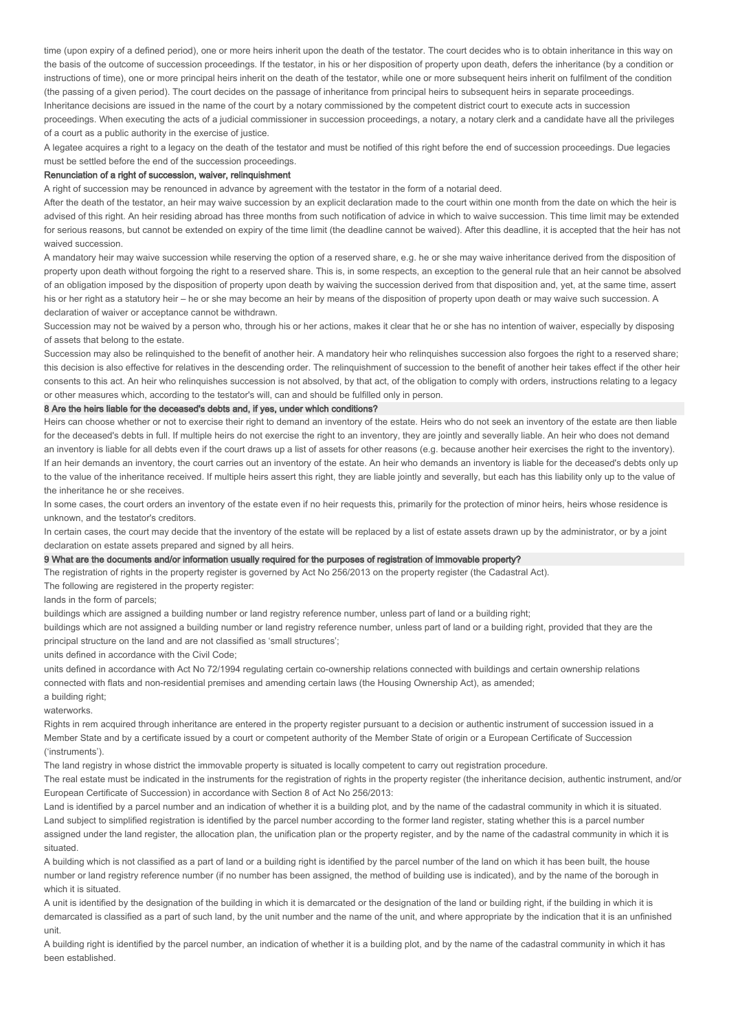time (upon expiry of a defined period), one or more heirs inherit upon the death of the testator. The court decides who is to obtain inheritance in this way on the basis of the outcome of succession proceedings. If the testator, in his or her disposition of property upon death, defers the inheritance (by a condition or instructions of time), one or more principal heirs inherit on the death of the testator, while one or more subsequent heirs inherit on fulfilment of the condition (the passing of a given period). The court decides on the passage of inheritance from principal heirs to subsequent heirs in separate proceedings. Inheritance decisions are issued in the name of the court by a notary commissioned by the competent district court to execute acts in succession proceedings. When executing the acts of a judicial commissioner in succession proceedings, a notary, a notary clerk and a candidate have all the privileges

of a court as a public authority in the exercise of justice.

A legatee acquires a right to a legacy on the death of the testator and must be notified of this right before the end of succession proceedings. Due legacies must be settled before the end of the succession proceedings.

### Renunciation of a right of succession, waiver, relinquishment

A right of succession may be renounced in advance by agreement with the testator in the form of a notarial deed.

After the death of the testator, an heir may waive succession by an explicit declaration made to the court within one month from the date on which the heir is advised of this right. An heir residing abroad has three months from such notification of advice in which to waive succession. This time limit may be extended for serious reasons, but cannot be extended on expiry of the time limit (the deadline cannot be waived). After this deadline, it is accepted that the heir has not waived succession.

A mandatory heir may waive succession while reserving the option of a reserved share, e.g. he or she may waive inheritance derived from the disposition of property upon death without forgoing the right to a reserved share. This is, in some respects, an exception to the general rule that an heir cannot be absolved of an obligation imposed by the disposition of property upon death by waiving the succession derived from that disposition and, yet, at the same time, assert his or her right as a statutory heir – he or she may become an heir by means of the disposition of property upon death or may waive such succession. A declaration of waiver or acceptance cannot be withdrawn.

Succession may not be waived by a person who, through his or her actions, makes it clear that he or she has no intention of waiver, especially by disposing of assets that belong to the estate.

Succession may also be relinquished to the benefit of another heir. A mandatory heir who relinquishes succession also forgoes the right to a reserved share; this decision is also effective for relatives in the descending order. The relinquishment of succession to the benefit of another heir takes effect if the other heir consents to this act. An heir who relinquishes succession is not absolved, by that act, of the obligation to comply with orders, instructions relating to a legacy or other measures which, according to the testator's will, can and should be fulfilled only in person.

### 8 Are the heirs liable for the deceased's debts and, if yes, under which conditions?

Heirs can choose whether or not to exercise their right to demand an inventory of the estate. Heirs who do not seek an inventory of the estate are then liable for the deceased's debts in full. If multiple heirs do not exercise the right to an inventory, they are jointly and severally liable. An heir who does not demand an inventory is liable for all debts even if the court draws up a list of assets for other reasons (e.g. because another heir exercises the right to the inventory). If an heir demands an inventory, the court carries out an inventory of the estate. An heir who demands an inventory is liable for the deceased's debts only up to the value of the inheritance received. If multiple heirs assert this right, they are liable jointly and severally, but each has this liability only up to the value of the inheritance he or she receives.

In some cases, the court orders an inventory of the estate even if no heir requests this, primarily for the protection of minor heirs, heirs whose residence is unknown, and the testator's creditors.

In certain cases, the court may decide that the inventory of the estate will be replaced by a list of estate assets drawn up by the administrator, or by a joint declaration on estate assets prepared and signed by all heirs.

### 9 What are the documents and/or information usually required for the purposes of registration of immovable property?

The registration of rights in the property register is governed by Act No 256/2013 on the property register (the Cadastral Act).

The following are registered in the property register:

lands in the form of parcels;

buildings which are assigned a building number or land registry reference number, unless part of land or a building right;

buildings which are not assigned a building number or land registry reference number, unless part of land or a building right, provided that they are the principal structure on the land and are not classified as 'small structures';

units defined in accordance with the Civil Code;

units defined in accordance with Act No 72/1994 regulating certain co-ownership relations connected with buildings and certain ownership relations connected with flats and non-residential premises and amending certain laws (the Housing Ownership Act), as amended;

a building right:

waterworks

Rights in rem acquired through inheritance are entered in the property register pursuant to a decision or authentic instrument of succession issued in a Member State and by a certificate issued by a court or competent authority of the Member State of origin or a European Certificate of Succession ('instruments').

The land registry in whose district the immovable property is situated is locally competent to carry out registration procedure.

The real estate must be indicated in the instruments for the registration of rights in the property register (the inheritance decision, authentic instrument, and/or European Certificate of Succession) in accordance with Section 8 of Act No 256/2013:

Land is identified by a parcel number and an indication of whether it is a building plot, and by the name of the cadastral community in which it is situated. Land subject to simplified registration is identified by the parcel number according to the former land register, stating whether this is a parcel number assigned under the land register, the allocation plan, the unification plan or the property register, and by the name of the cadastral community in which it is situated.

A building which is not classified as a part of land or a building right is identified by the parcel number of the land on which it has been built, the house number or land registry reference number (if no number has been assigned, the method of building use is indicated), and by the name of the borough in which it is situated.

A unit is identified by the designation of the building in which it is demarcated or the designation of the land or building right, if the building in which it is demarcated is classified as a part of such land, by the unit number and the name of the unit, and where appropriate by the indication that it is an unfinished unit.

A building right is identified by the parcel number, an indication of whether it is a building plot, and by the name of the cadastral community in which it has been established.